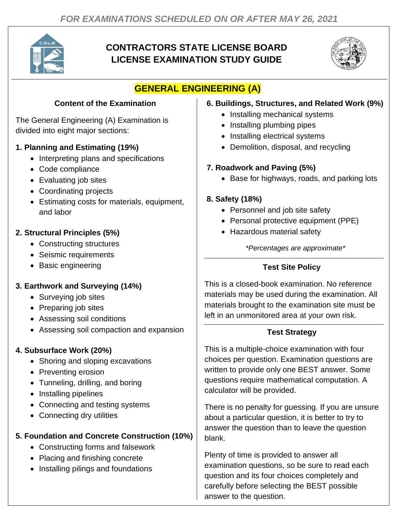

# **CONTRACTORS STATE LICENSE BOARD LICENSE EXAMINATION STUDY GUIDE**



# **GENERAL ENGINEERING (A)**

#### **Content of the Examination**

The General Engineering (A) Examination is divided into eight major sections:

#### **1. Planning and Estimating (19%)**

- Interpreting plans and specifications
- Code compliance
- Evaluating job sites
- Coordinating projects
- Estimating costs for materials, equipment, and labor

### **2. Structural Principles (5%)**

- Constructing structures
- Seismic requirements
- Basic engineering

## **3. Earthwork and Surveying (14%)**

- Surveying job sites
- Preparing job sites
- Assessing soil conditions
- Assessing soil compaction and expansion

### **4. Subsurface Work (20%)**

- Shoring and sloping excavations
- Preventing erosion
- Tunneling, drilling, and boring
- Installing pipelines
- Connecting and testing systems
- Connecting dry utilities

### **5. Foundation and Concrete Construction (10%)**

- Constructing forms and falsework
- Placing and finishing concrete
- Installing pilings and foundations

#### **6. Buildings, Structures, and Related Work (9%)**

- Installing mechanical systems
- Installing plumbing pipes
- Installing electrical systems
- Demolition, disposal, and recycling

### **7. Roadwork and Paving (5%)**

• Base for highways, roads, and parking lots

## **8. Safety (18%)**

- Personnel and job site safety
- Personal protective equipment (PPE)
- Hazardous material safety

*\*Percentages are approximate\**

## **Test Site Policy**

materials may be used during the examination. All This is a closed-book examination. No reference materials brought to the examination site must be left in an unmonitored area at your own risk.

#### **Test Strategy**

This is a multiple-choice examination with four choices per question. Examination questions are written to provide only one BEST answer. Some questions require mathematical computation. A calculator will be provided.

There is no penalty for guessing. If you are unsure about a particular question, it is better to try to answer the question than to leave the question blank.

Plenty of time is provided to answer all examination questions, so be sure to read each question and its four choices completely and carefully before selecting the BEST possible answer to the question.